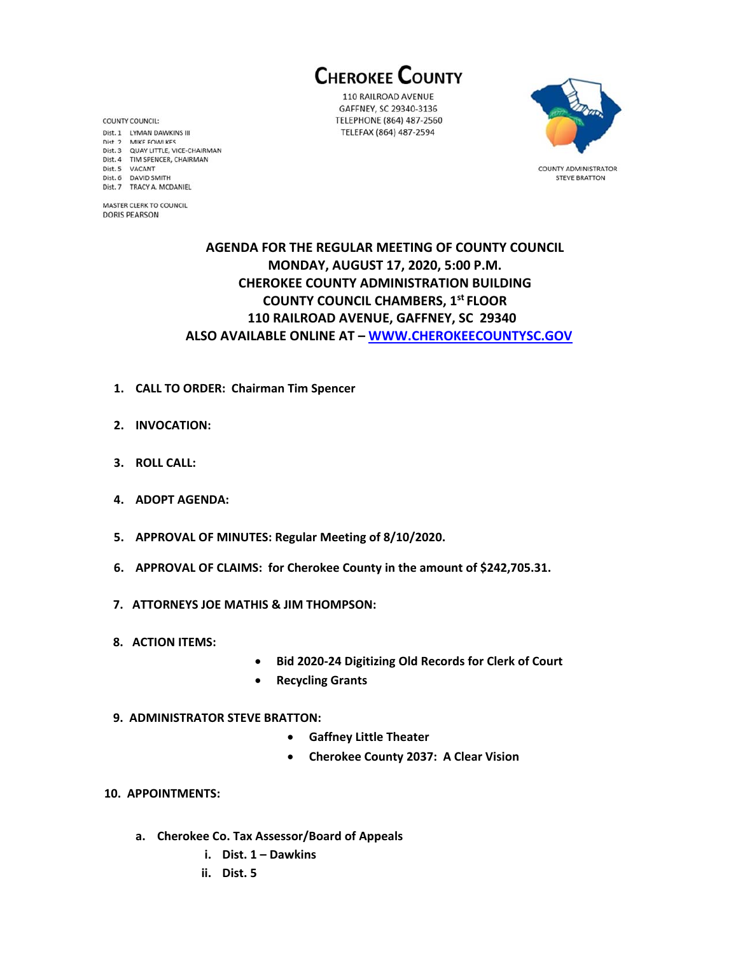**CHEROKEE COUNTY** 

110 RAILROAD AVENUE GAFFNEY, SC 29340-3136 TELEPHONE (864) 487-2560 TELEFAX (864) 487-2594



**COUNTY ADMINISTRATOR STEVE BRATTON** 

## **AGENDA FOR THE REGULAR MEETING OF COUNTY COUNCIL MONDAY, AUGUST 17, 2020, 5:00 P.M. CHEROKEE COUNTY ADMINISTRATION BUILDING COUNTY COUNCIL CHAMBERS, 1st FLOOR 110 RAILROAD AVENUE, GAFFNEY, SC 29340 ALSO AVAILABLE ONLINE AT – WWW.CHEROKEECOUNTYSC.GOV**

- **1. CALL TO ORDER: Chairman Tim Spencer**
- **2. INVOCATION:**
- **3. ROLL CALL:**

**COUNTY COUNCIL:** 

Dist. 5 VACANT

Dist. 6 DAVID SMITH

Dist. 1 LYMAN DAWKINS III Dist. 2 MIKE FOWLKES Dist. 3 QUAY LITTLE, VICE-CHAIRMAN Dist. 4 TIM SPENCER, CHAIRMAN

Dist. 7 TRACY A. MCDANIEL MASTER CLERK TO COUNCIL **DORIS PEARSON** 

- **4. ADOPT AGENDA:**
- **5. APPROVAL OF MINUTES: Regular Meeting of 8/10/2020.**
- **6. APPROVAL OF CLAIMS: for Cherokee County in the amount of \$242,705.31.**
- **7. ATTORNEYS JOE MATHIS & JIM THOMPSON:**
- **8. ACTION ITEMS:**
- **Bid 2020‐24 Digitizing Old Records for Clerk of Court**
- **•** Recycling Grants
- **9. ADMINISTRATOR STEVE BRATTON:** 
	- **Gaffney Little Theater**
	- **Cherokee County 2037: A Clear Vision**
- **10. APPOINTMENTS:**
	- **a. Cherokee Co. Tax Assessor/Board of Appeals** 
		- **i. Dist. 1 Dawkins**
		- **ii. Dist. 5**